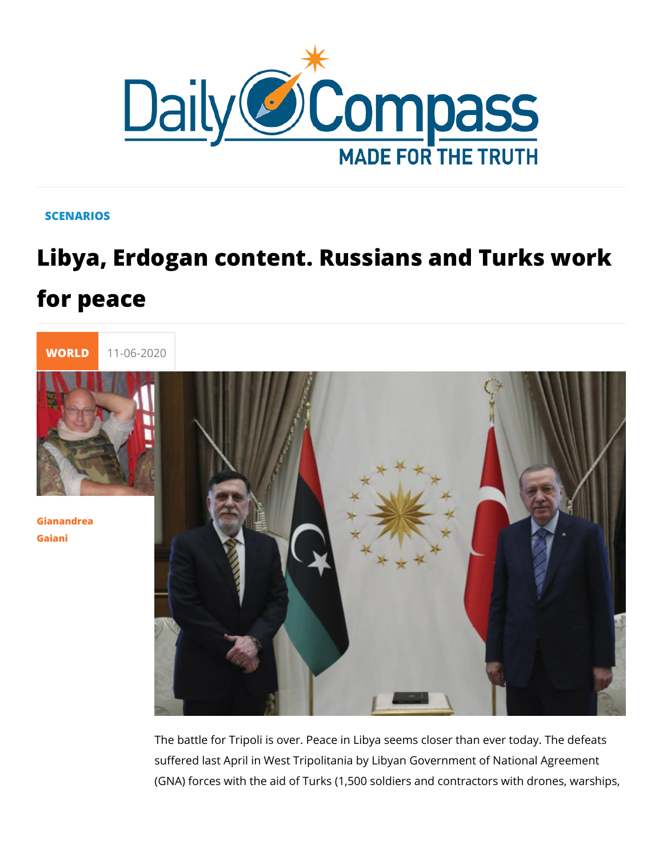## **SCENARIOS**

## Libya, Erdogan content. Russians and for peace



[Gianandr](/en/gianandrea-gaiani-1)ea [Gaia](/en/gianandrea-gaiani-1)ni

> The battle for Tripoli is over. Peace in Libya seems closer tha suffered last April in West Tripolitania by Libyan Government (GNA) forces with the aid of Turks (1,500 soldiers and contrac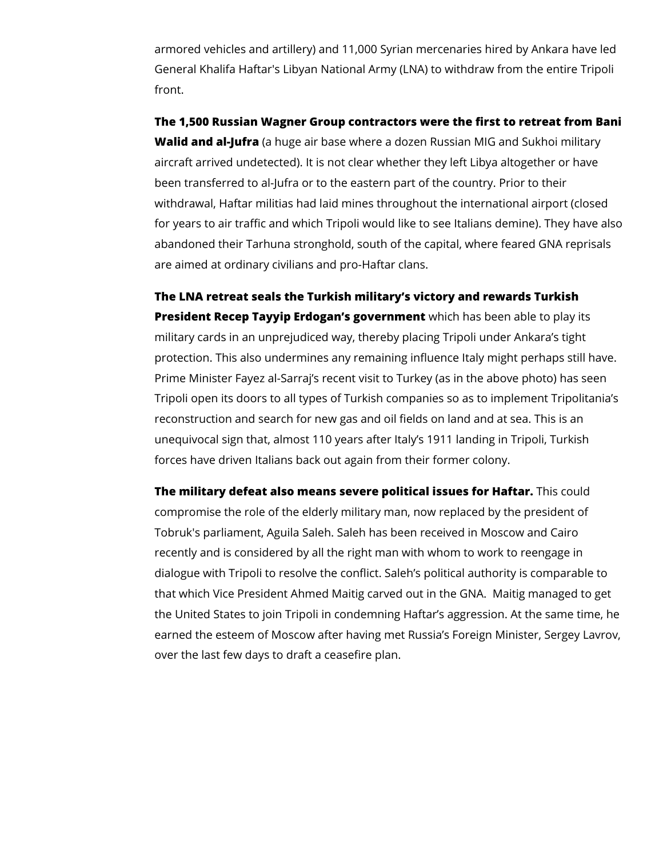armored vehicles and artillery) and 11,000 Syrian mercenaries hired by Ankara have led General Khalifa Haftar's Libyan National Army (LNA) to withdraw from the entire Tripoli front.

**The 1,500 Russian Wagner Group contractors were the first to retreat from Bani Walid and al-Jufra** (a huge air base where a dozen Russian MIG and Sukhoi military aircraft arrived undetected). It is not clear whether they left Libya altogether or have been transferred to al-Jufra or to the eastern part of the country. Prior to their withdrawal, Haftar militias had laid mines throughout the international airport (closed for years to air traffic and which Tripoli would like to see Italians demine). They have also abandoned their Tarhuna stronghold, south of the capital, where feared GNA reprisals are aimed at ordinary civilians and pro-Haftar clans.

**The LNA retreat seals the Turkish military's victory and rewards Turkish President Recep Tayyip Erdogan's government** which has been able to play its military cards in an unprejudiced way, thereby placing Tripoli under Ankara's tight protection. This also undermines any remaining influence Italy might perhaps still have. Prime Minister Fayez al-Sarraj's recent visit to Turkey (as in the above photo) has seen Tripoli open its doors to all types of Turkish companies so as to implement Tripolitania's reconstruction and search for new gas and oil fields on land and at sea. This is an unequivocal sign that, almost 110 years after Italy's 1911 landing in Tripoli, Turkish forces have driven Italians back out again from their former colony.

**The military defeat also means severe political issues for Haftar.** This could compromise the role of the elderly military man, now replaced by the president of Tobruk's parliament, Aguila Saleh. Saleh has been received in Moscow and Cairo recently and is considered by all the right man with whom to work to reengage in dialogue with Tripoli to resolve the conflict. Saleh's political authority is comparable to that which Vice President Ahmed Maitig carved out in the GNA. Maitig managed to get the United States to join Tripoli in condemning Haftar's aggression. At the same time, he earned the esteem of Moscow after having met Russia's Foreign Minister, Sergey Lavrov, over the last few days to draft a ceasefire plan.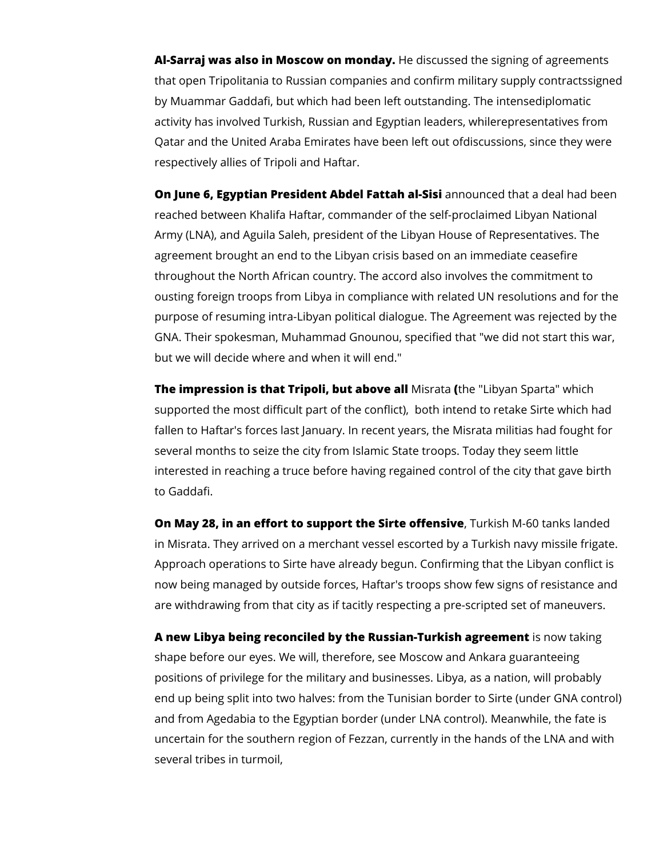**Al-Sarraj was also in Moscow on monday.** He discussed the signing of agreements that open Tripolitania to Russian companies and confirm military supply contractssigned by Muammar Gaddafi, but which had been left outstanding. The intensediplomatic activity has involved Turkish, Russian and Egyptian leaders, whilerepresentatives from Qatar and the United Araba Emirates have been left out ofdiscussions, since they were respectively allies of Tripoli and Haftar.

**On June 6, Egyptian President Abdel Fattah al-Sisi** announced that a deal had been reached between Khalifa Haftar, commander of the self-proclaimed Libyan National Army (LNA), and Aguila Saleh, president of the Libyan House of Representatives. The agreement brought an end to the Libyan crisis based on an immediate ceasefire throughout the North African country. The accord also involves the commitment to ousting foreign troops from Libya in compliance with related UN resolutions and for the purpose of resuming intra-Libyan political dialogue. The Agreement was rejected by the GNA. Their spokesman, Muhammad Gnounou, specified that "we did not start this war, but we will decide where and when it will end."

**The impression is that Tripoli, but above all** Misrata **(**the "Libyan Sparta" which supported the most difficult part of the conflict), both intend to retake Sirte which had fallen to Haftar's forces last January. In recent years, the Misrata militias had fought for several months to seize the city from Islamic State troops. Today they seem little interested in reaching a truce before having regained control of the city that gave birth to Gaddafi.

**On May 28, in an effort to support the Sirte offensive**, Turkish M-60 tanks landed in Misrata. They arrived on a merchant vessel escorted by a Turkish navy missile frigate. Approach operations to Sirte have already begun. Confirming that the Libyan conflict is now being managed by outside forces, Haftar's troops show few signs of resistance and are withdrawing from that city as if tacitly respecting a pre-scripted set of maneuvers.

**A new Libya being reconciled by the Russian-Turkish agreement** is now taking shape before our eyes. We will, therefore, see Moscow and Ankara guaranteeing positions of privilege for the military and businesses. Libya, as a nation, will probably end up being split into two halves: from the Tunisian border to Sirte (under GNA control) and from Agedabia to the Egyptian border (under LNA control). Meanwhile, the fate is uncertain for the southern region of Fezzan, currently in the hands of the LNA and with several tribes in turmoil,